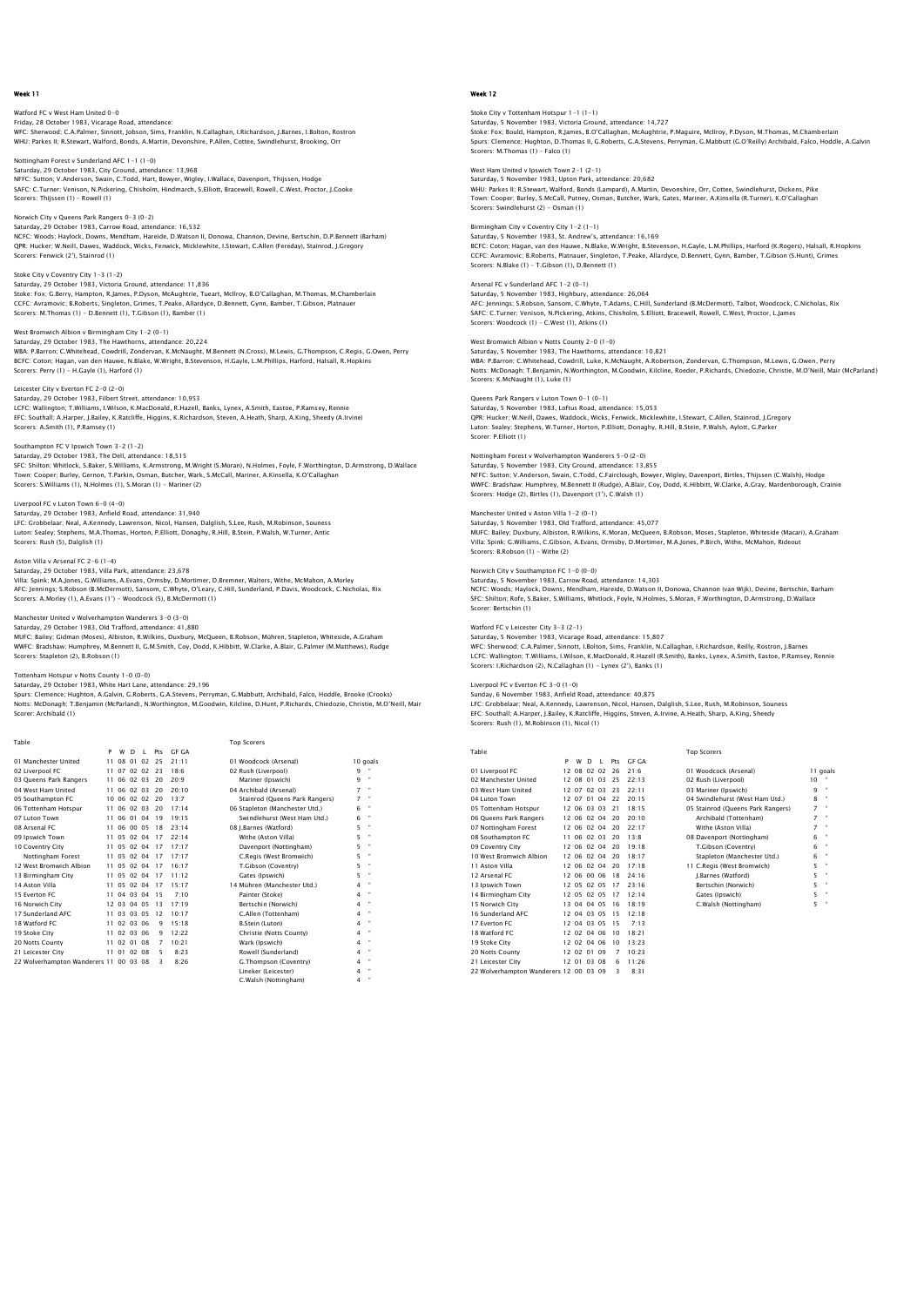Watford FC v West Ham United 0-0 Friday, 28 October 1983, Vicarage Road, attendance: WFC: Sherwood; C.A.Palmer, Sinnott, Jobson, Sims, Franklin, N.Callaghan, I.Richardson, J.Barnes, I.Bolton, Rostron WHU: Parkes II; R.Stewart, Walford, Bonds, A.Martin, Devonshire, P.Allen, Cottee, Swindlehurst, Brooking, Orr

Nottingham Forest v Sunderland AFC 1-1 (1-0) Saturday, 29 October 1983, City Ground, attendance: 13,968 NFFC: Sutton; V.Anderson, Swain, C.Todd, Hart, Bowyer, Wigley, I.Wallace, Davenport, Thijssen, Hodge SAFC: C.Turner; Venison, N.Pickering, Chisholm, Hindmarch, S.Elliott, Bracewell, Rowell, C.West, Proctor, J.Cooke Scorers: Thijssen (1) – Rowell (1)

Norwich City v Queens Park Rangers 0-3 (0-2) Saturday, 29 October 1983, Carrow Road, attendance: 16,532 NCFC: Woods; Haylock, Downs, Mendham, Hareide, D.Watson II, Donowa, Channon, Devine, Bertschin, D.P.Bennett (Barham) QPR: Hucker; W.Neill, Dawes, Waddock, Wicks, Fenwick, Micklewhite, I.Stewart, C.Allen (Fereday), Stainrod, J.Gregory Scorers: Fenwick (2'), Stainrod (1)

Stoke City v Coventry City 1-3 (1-2) Saturday, 29 October 1983, Victoria Ground, attendance: 11,836 Stoke: Fox; G.Berry, Hampton, R.James, P.Dyson, McAughtrie, Tueart, McIlroy, B.O'Callaghan, M.Thomas, M.Chamberlain<br>CCFC: Avramovic; B.Roberts, Singleton, Grimes, T.Peake, Allardyce, D.Bennett, Gynn, Bamber, T.Gibson, Plat

West Bromwich Albion v Birmingham City 1-2 (0-1) Saturday, 29 October 1983, The Hawthorns, attendance: 20,224<br>WBA: P.Barron; C.Whitehead, Cowdrill, Zondervan, K.McNaught, M.Bennett (N.Cross), M.Lewis, G.Thompson, C.Regis, G.Owen, Perry<br>BCFC: Coton; Hagan, van den Hauwe,

## Leicester City v Everton FC 2-0 (2-0)

Saturday, 29 October 1983, Filbert Street, attendance: 10,953 LCFC: Wallington; T.Williams, I.Wilson, K.MacDonald, R.Hazell, Banks, Lynex, A.Smith, Eastoe, P.Ramsey, Rennie<br>EFC: Southall; A.Harper, J.Bailey, K.Ratcliffe, Higgins, K.Richardson, Steven, A.Heath, Sharp, A.King, Sheedy ( Scorers: A.Smith (1), P.Ramsey (1)

## Southampton FC V Ipswich Town 3-2 (1-2)<br>Saturday 20 October 1982, The Dell, attendance: 18 F15

Saturday, 29 October 1983, The Dell, attendance: 18,515<br>SFC: Shilton; Whitlock, S.Baker, S.Williams, K.Armstrong, M.Wright (S.Moran), N.Holmes, Foyle, F.Worthington, D.Armstrong, D.Wallace<br>Town: Cooper; Burley, Gernon, T.P Scorers: S.Williams (1), N.Holmes (1), S.Moran (1) - Mariner (2)

Liverpool FC v Luton Town 6-0 (4-0)

Saturday, 29 October 1983, Anfield Road, attendance: 31,940<br>LFC: Grobbelaar; Neal, A.Kennedy, Lawrenson, Nicol, Hansen, Dalglish, S.Lee, Rush, M.Robinson, Souness<br>Luton: Sealey; Stephens, M.A.Thomas, Horton, P.Elliott, Don Scorers: Rush (5), Dalglish (1)

#### Aston Villa v Arsenal FC 2-6 (1-4)

Saturday, 29 October 1983, Villa Park, attendance: 23,678 Villa: Spink; M.A.Jones, G.Williams, A.Evans, Ormsby, D.Mortimer, D.Bremner, Walters, Withe, McMahon, A.Morley<br>AFC: Jennings; S.Robson (B.McDermott), Sansom, C.Whyte, O'Leary, C.Hill, Sunderland, P.Davis, Woodcock, C.Nicho Scorers: A.Morley (1), A.Evans (1') - Woodcock (5), B.McDermott (1)

Manchester United v Wolverhampton Wanderers 3–0 (3–0)<br>Saturday, 29 October 1983, Old Trafford, attendance: 41,880<br>MUFC: Bailey: Gidman (Moses), Albiston, R.Wilkins, Duxbury, McQueen, B.Robson, Mühren, Stapleton, Whiteside, WWFC: Bradshaw; Humphrey, M.Bennett II, G.M.Smith, Coy, Dodd, K.Hibbitt, W.Clarke, A.Blair, G.Palmer (M.Matthews), Rudge

Scorers: Stapleton (2), B.Robson (1)

#### m Hotspur v Notts County 1-0 (0-0) Saturday, 29 October 1983, White Hart Lane, attendance: 29,196

Spurs: Clemence; Hughton, A.Galvin, G.Roberts, G.A.Stevens, Perryman, G.Mabbutt, Archibald, Falco, Hoddle, Brooke (Crooks)<br>Notts: McDonagh; T.Benjamin (McParland), N.Worthington, M.Goodwin, Kilcline, D.Hunt, P.Richards, Ch

 Table Top Scorers P W D L Pts GF GA 01 Manchester United 11 08 01 02 25 21:11 01 Woodcock (Arsenal) 10 goals 02 Liverpool FC 11 07 02 02 23 18:6 02 Rush (Liverpool) 9 " 03 Queens Park Rangers 11 06 02 03 20 20:9 Mariner (Ipswich) 9 " 04 West Ham United 11 06 02 03 20 20:10<br>05 Southampton FC 10 06 02 02 20 13:7 05 06 02 02 20 13:7<br>11 06 02 03 20 17:14<br>11 06 01 04 19 19:15<br>11 06 00 05 18 23:14 06 Tottenham Hotspur<br>11 06 106 17:14 06 02 17:14 06 17:14 06 17:14 06 17:14 06 18 08 17:14 06 18 08 18 08 18 08 18 08 18 09 18 09 1 07 Luton Town 11 06 01 04 19 19:15 Swindlehurst (West Ham Utd.) 6 " 08 Arsenal FC 11 06 00 05 18 23:14 08 J.Barnes (Watford) 5 " 09 Ipswich Town 11 05 02 04 17 22:14<br>10 Coventry City 11 05 02 04 17 17:17 10 Coventry City 11 05 02 04 17 17:17<br>
10 Nottingham Forest 11 05 02 04 17 17:17<br>
12 West Bromwich Albion 11 05 02 04 17 16:17<br>
13 Birmingham City 11 05 02 04 17 11:12 12 Wottingham Forest 11 05 02 04 17 17:17 C. Regis (West Bromwich) 5<br>12 West Bromwich Albion 11 05 02 04 17 16:17 T. Gibson (Coventry) 5<br>13 Birmingham City 11 05 02 04 17 11:12 Cates (Ipswich) 5<br>14 Aston Villa 11 05 02 04 15 Everton FC 11 04 03 04 15 7:10<br>15 Nowwich City 12 03 04 05 13 17:19<br>17 Sunderland AFC 11 03 03 05 12 10:17<br>18 Watford FC 11 02 03 06 9 15:18 16 16 16 16 16 16 17:19<br>Bertschin City 12 03 04 05 13 17:19 17 Sunderland AFC 11 03 03 05 12 10:17 C. Allen (Tottenham) 4 4<br>18 Watford FC 11 02 03 06 9 15:18 B. Stein (Luton) 4 4<br>19 Stoke City 11 10 2 03 06 9 12:22 Christie (Notts County) 4 4<br>20 Notts County 11 02 01 08 7 10:21 War 21 Leicester City 11 01 02 08 5 8:23 Rowell (Sunderland) 4 " 22 Wolverhampton Wanderers 11 00 03 08 3 8:26 G.Thompson (Coventry) 4 " Walsh (Nottingh

## Week 12

# Stoke City v Tottenham Hotspur 1–1 (1–1)<br>Saturday, 5 November 1983, Victoria Ground, attendance: 14,727<br>Stoke: Fox; Bould, Hampton, R.James, B.O'Callaghan, McAughtrie, P.Maquire, McIlroy, P.Dyson, M.Thomas, M.Chamberlair

Spurs: Clemence; Hughton, D.Thomas II, G.Roberts, G.A.Stevens, Perryman, G.Mabbutt (G.O'Reilly) Archibald, Falco, Hoddle, A.Galvin Scorers: M.Thomas (1) – Falco (1)

#### West Ham United v Ipswich Town 2-1 (2-1) Saturday, 5 November 1983, Upton Park, attendance: 20,682

WHU: Parkes II; R.Stewart, Walford, Bonds (Lampard), A.Martin, Devonshire, Orr, Cottee, Swindlehurst, Dickens, Pike Town: Cooper; Burley, S.McCall, Putney, Osman, Butcher, Wark, Gates, Mariner, A.Kinsella (R.Turner), K.O'Callaghan Scorers: Swindlehurst (2) - Osman (1)

#### Birmingham City v Coventry City 1-2 (1-1) Saturday, 5 November 1983, St. Andrew's, attendance: 16,169

BCFC: Coton; Hagan, van den Hauwe, N.Blake, W.Wright, B.Stevenson, H.Gayle, L.M.Phillips, Harford (K.Rogers), Halsall, R.Hopkins<br>CCFC: Avramovic: B.Roberts, Platnauer, Singleton, T.Peake, Allardyce, D.Bennett, Gynn, Bamber

### Arsenal FC v Sunderland AFC 1-2 (0-1)

Saturday, 5 November 1983, Highbury, attendance: 26,064<br>AFC: Jennings; S.Robson, Sansom, C.Whyte, T.Adams, C.Hill, Sunderland (B.McDermott), Talbot, Woodcock, C.Nicholas, Rix<br>SAFC: C.Turner; Venison, N.Pickering, Atkins, C

#### West Bromwich Albion v Notts County 2-0 (1-0)

Saturday, 5 November 1983, The Hawthorns, attendance: 10,821<br>WBA: P.Barron; C.Whitehead, Cowdrill, Luke, K.McNaught, A.Robertson, Zondervan, G.Thompson, M.Lewis, G.Owen, Perry<br>Notts: McDonaqh: T.Benjamin, N.Worthington, M. Scorers: K.McNaught (1), Luke (1)

### Queens Park Rangers v Luton Town 0-1 (0-1)

Saturday, 5 November 1983, Loftus Road, attendance: 15,053<br>QPR: Hucker; W.Neill, Dawes, Waddock, Wicks, Fenwick, Micklewhite, I.Stewart, C.Allen, Stainrod, J.Gregor;<br>Luton: Sealey; Stephens, W.Turner, Horton, P.Elliott, Do Scorer: P.Elliott (1)

Nottingham Forest v Wolverhampton Wanderers 5–0 (2–0)<br>Saturday, 5 November 1983, City Ground, attendance: 13,855<br>NFFC: Sutton; V.Anderson, Swain, C.Todd, C.Fairclough, Bowyer, Wigley, Davenport, Birtles, Thijssen (C.Walsh) Scorers: Hodge (2), Birtles (1), Davenport (1'), C.Walsh (1)

## Manchester United v Aston Villa 1-2 (0-1)

Saturday, 5 November 1983, Old Trafford, attendance: 45,077 MUFC: Bailey; Duxbury, Albiston, R.Wilkins, K.Moran, McQueen, B.Robson, Moses, Stapleton, Whiteside (Macari), A.Graham Villa: Spink; G.Williams, C.Gibson, A.Evans, Ormsby, D.Mortimer, M.A.Jones, P.Birch, Withe, McMahon, Rideout Scorers: B.Robson (1) - Withe (2)

## $m$ pton FC 1-0 (0-0)

Saturday, 5 November 1983, Carrow Road, attendance: 14,303 NCFC: Woods; Haylock, Downs, Mendham, Hareide, D.Watson II, Donowa, Channon (van Wijk), Devine, Bertschin, Barham SFC: Shilton; Rofe, S.Baker, S.Williams, Whitlock, Foyle, N.Holmes, S.Moran, F.Worthington, D.Armstrong, D.Wallace Scorer: Bertschin (1)

### Watford FC v Leicester City 3-3 (2-1)

Saturday, 5 November 1983, Vicarage Road, attendance: 15,807 WFC: Sherwood; C.A.Palmer, Sinnott, I.Bolton, Sims, Franklin, N.Callaghan, I.Richardson, Reilly, Rostron, J.Barnes LCFC: Wallington; T.Williams, I.Wilson, K.MacDonald, R.Hazell (R.Smith), Banks, Lynex, A.Smith, Eastoe, P.Ramsey, Rennie Scorers: I.Richardson (2), N.Callaghan (1) - Lynex (2'), Banks (1)

### Liverpool FC v Everton FC 3-0 (1-0)

Sunday, 6 November 1983, Anfield Road, attendance: 40,875

LFC: Grobbelaar; Neal, A.Kennedy, Lawrenson, Nicol, Hansen, Dalglish, S.Lee, Rush, M.Robinson, Souness<br>EFC: Southall; A.Harper, J.Bailey, K.Ratcliffe, Higgins, Steven, A.Irvine, A.Heath, Sharp, A.King, Sheedy<br>Scorers: Rush

Table Top Scorers

|                                        | P   | W           | D     | $\mathbf{L}$ | Pts | <b>GF GA</b> |                                   |    |              |
|----------------------------------------|-----|-------------|-------|--------------|-----|--------------|-----------------------------------|----|--------------|
| 01 Liverpool FC                        |     | 12 08 02 02 |       |              | 26  | 21.6         | 01 Woodcock (Arsenal)             |    | 11 goals     |
| 02 Manchester United                   |     | 12 08       | 01    | 03           | 25  | 22:13        | 02 Rush (Liverpool)               | 10 |              |
| 03 West Ham United                     |     | 12.07       | 02 03 |              | 23  | 22:11        | 03 Mariner (Ipswich)              | q  | ×            |
| 04 Luton Town                          |     | 12 07       | 01    | 04           | 22  | 20:15        | 04 Swindlehurst (West Ham Utd.)   | 8  | $\mathbf{u}$ |
| 05 Tottenham Hotspur                   |     | 12 06 03 03 |       |              | 21  | 18:15        | 05 Stainrod (Queens Park Rangers) | 7  | ×            |
| 06 Oueens Park Rangers                 |     | 12 06 02 04 |       |              | 20  | 20:10        | Archibald (Tottenham)             | 7  | $\mathbf{u}$ |
| 07 Nottingham Forest                   |     | 12 06       | 02 04 |              | 20  | 22.17        | Withe (Aston Villa)               | 7  | ×            |
| 08 Southampton FC                      | 11. | 06 02 03    |       |              | 20  | 13:8         | 08 Davenport (Nottingham)         | 6  | ×            |
| 09 Coventry City                       |     | 12 06 02 04 |       |              | 20  | 19.18        | T.Gibson (Coventry)               | 6  | $\mathbf{u}$ |
| 10 West Bromwich Albion                |     | 12 06       | 02,04 |              | 20  | 18:17        | Stapleton (Manchester Utd.)       | 6  | $\mathbf{u}$ |
| 11 Aston Villa                         |     | 12 06 02 04 |       |              | 20  | 17.18        | 11 C.Regis (West Bromwich)        | 5  | $\mathbf{u}$ |
| 12 Arsenal FC                          |     | 12 06 00 06 |       |              | 18  | 24.16        | J.Barnes (Watford)                | 5  | ×            |
| 13 Ipswich Town                        |     | 12 05 02 05 |       |              | 17  | 23:16        | Bertschin (Norwich)               | 5  | $\mathbf{a}$ |
| 14 Birmingham City                     |     | 12 05 02 05 |       |              | 17  | 12:14        | Gates (Ipswich)                   | 5  | $\mathbf{a}$ |
| 15 Norwich City                        |     | 13 04       | 04 05 |              | 16  | 18:19        | C.Walsh (Nottingham)              | 5  |              |
| 16 Sunderland AFC                      |     | 12 04 03 05 |       |              | 15  | 12.18        |                                   |    |              |
| 17 Everton EC                          |     | 12 04 03 05 |       |              | 15  | 7:13         |                                   |    |              |
| 18 Watford FC                          |     | 12.02       | 04    | 06           | 10  | 18:21        |                                   |    |              |
| 19 Stoke City                          |     | 12 02 04 06 |       |              | 10  | 13.23        |                                   |    |              |
| 20 Notts County                        |     | 12 02 01    |       | 09           | 7   | 10:23        |                                   |    |              |
| 21 Leicester City                      |     | 12.01       | 03 08 |              | 6   | 11:26        |                                   |    |              |
| 22 Wolverhampton Wanderers 12 00 03 09 |     |             |       |              | З   | 8:31         |                                   |    |              |

| :6  | 01 Woodcock (Arsenal)             | 11 qoa |              |
|-----|-----------------------------------|--------|--------------|
| :13 | 02 Rush (Liverpool)               | 10     |              |
| :11 | 03 Mariner (Ipswich)              | 9      | ×            |
| :15 | 04 Swindlehurst (West Ham Utd.)   | 8      | $\mathbf{u}$ |
| :15 | 05 Stainrod (Oueens Park Rangers) |        | $\mathbf{u}$ |
| :10 | Archibald (Tottenham)             |        | $\mathbf{u}$ |
| :17 | Withe (Aston Villa)               |        | $\mathbf{u}$ |
| 8   | 08 Davenport (Nottingham)         | 6      | $\mathbf{u}$ |
| :18 | T.Gibson (Coventry)               | 6      | $\mathbf{u}$ |
| :17 | Stapleton (Manchester Utd.)       | 6      | ×            |
| 18  | 11 C.Reais (West Bromwich)        | 5      | $\mathbf{u}$ |
| :16 | J.Barnes (Watford)                | 5      | $\mathbf{u}$ |
| :16 | Bertschin (Norwich)               | 5      | $\mathbf{u}$ |
| :14 | Gates (Ipswich)                   | 5      | $\mathbf{u}$ |
| :19 | C.Walsh (Nottingham)              | 5      | $\mathbf{u}$ |
|     |                                   |        |              |

| 01 Woodcock (Arsenal)          |
|--------------------------------|
| 02 Rush (Liverpool)            |
| Mariner (Ipswich)              |
| 04 Archibald (Arsenal)         |
| Stainrod (Queens Park Rangers) |
| 06 Stapleton (Manchester Utd.) |
| Swindlehurst (West Ham Utd.)   |
| 08 J.Barnes (Watford)          |
| Withe (Aston Villa)            |
| Davenport (Nottingham)         |
| C.Regis (West Bromwich)        |
| T.Gibson (Coventry)            |
| Gates (Ipswich)                |
| 14 Mühren (Manchester Utd.)    |
| Painter (Stoke)                |
| Bertschin (Norwich)            |
| C.Allen (Tottenham)            |
| <b>B.Stein (Luton)</b>         |
| Christie (Notts County)        |
| Wark (Ipswich)                 |
| Rowell (Sunderland)            |
| G.Thompson (Coventry)          |
| Lineker (Leicester)            |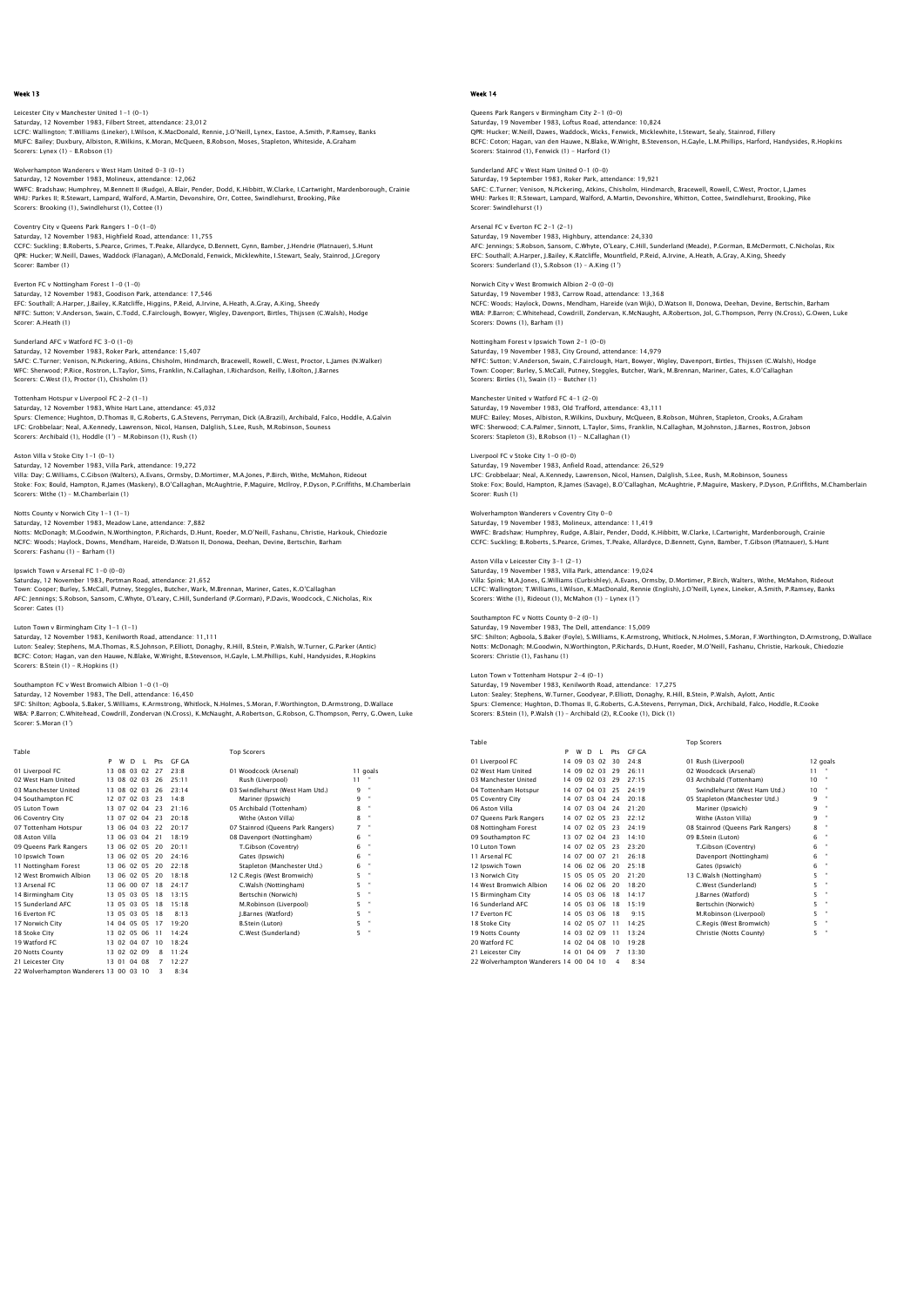Leicester City v Manchester United 1–1 (0–1)<br>Saturday, 12 November 1983, Filbert Street, attendance: 23,012<br>LCFC: Wallington; T.Williams (Lineker), I.Wilson, K.MacDonald, Rennie, J.O'Neill, Lynex, Eastoe, A.Smith, P.Ramsey MUFC: Bailey; Duxbury, Albiston, R.Wilkins, K.Moran, McQueen, B.Robson, Moses, Stapleton, Whiteside, A.Graham Scorers: Lynex (1) – B.Robson (1)

## Wolverhampton Wanderers v West Ham United 0-3 (0-1) Saturday, 12 November 1983, Molineux, attendance: 12,062

WWFC: Bradshaw; Humphrey, M.Bennett II (Rudge), A.Blair, Pender, Dodd, K.Hibbitt, W.Clarke, I.Cartwright, Mardenborough, Crainie WHU: Parkes II; R.Stewart, Lampard, Walford, A.Martin, Devonshire, Orr, Cottee, Swindlehurst, Brooking, Pike Scorers: Brooking (1), Swindlehurst (1), Cottee (1)

## Coventry City v Queens Park Rangers 1-0 (1-0)

Saturday, 12 November 1983, Highfield Road, attendance: 11,755 CCFC: Suckling: B.Roberts, S.Pearce, Grimes, T.Peake, Allardyce, D.Bennett, Gynn, Bamber, J.Hendrie (Platnauer), S.Hunt<br>QPR: Hucker; W.Neill, Dawes, Waddock (Flanagan), A.McDonald, Fenwick, Micklewhite, I.Stewart, Sealy, S

#### Everton FC v Nottingham Forest 1-0 (1-0)

Saturday, 12 November 1983, Goodison Park, attendance: 17,546 EFC: Southall; A.Harper, J.Bailey, K.Ratcliffe, Higgins, P.Reid, A.Irvine, A.Heath, A.Gray, A.King, Sheedy<br>NFFC: Sutton; V.Anderson, Swain, C.Todd, C.Fairclough, Bowyer, Wigley, Davenport, Birtles, Thijssen (C.Walsh), Hodg

#### Sunderland AFC v Watford FC 3-0 (1-0)

Saturday, 12 November 1983, Roker Park, attendance: 15,407 SAFC: C.Turner; Venison, N.Pickering, Atkins, Chisholm, Hindmarch, Bracewell, Rowell, C.West, Proctor, L.James (N.Walker)<br>WFC: Sherwood; P.Rice, Rostron, L.Taylor, Sims, Franklin, N.Callaghan, I.Richardson, Reilly, I.Bolto Scorers: C.West (1), Proctor (1), Chisholm (1)

#### Tottenham Hotspur v Liverpool FC 2-2 (1-1)

Saturday, 12 November 1983, White Hart Lane, attendance: 45,032<br>Spurs: Clemence; Hughton, D.Thomas II, G.Roberts, G.A.Stevens, Perryman, Dick (A.Brazil), Archibald, Falco, Hoddle, A.Galvin<br>LFC: Grobbelaar; Neal, A.Kennedy, Scorers: Archibald (1), Hoddle (1') - M.Robinson (1), Rush (1)

Aston Villa v Stoke City 1–1 (0–1)<br>Saturday, 12 November 1983, Villa Park, attendance: 19,272<br>Villa: Day, C.Williams, C.Gibson (Walters), A.Evans, Ormsby, D.Mortimer, M.A.Jones, P.Birch, Withe, McMahon, Rideout<br>Stoke: Fox: Scorers: Withe (1) – M.Chamberlain (1)

## Notts County v Norwich City 1-1 (1-1)

Saturday, 12 November 1983, Meadow Lane, attendance: 7,882<br>Notts: McDonagh; M.Goodwin, N.Worthington, P.Richards, D.Hunt, Roeder, M.O'Neill, Fashanu, Christie, Harkouk, Chiedozie<br>NCFC: Woods; Haylock, Downs, Mendham, Harei Scorers: Fashanu (1) - Barham (1)

## Ipswich Town v Arsenal FC 1-0 (0-0)

Saturday, 12 November 1983, Portman Road, attendance: 21,652 Town: Cooper; Burley, S.McCall, Putney, Steggles, Butcher, Wark, M.Brennan, Mariner, Gates, K.O'Callaghan AFC: Jennings; S.Robson, Sansom, C.Whyte, O'Leary, C.Hill, Sunderland (P.Gorman), P.Davis, Woodcock, C.Nicholas, Rix Scorer: Gates (1)

#### Luton Town v Birmingham City 1-1 (1-1) Saturday, 12 November 1983, Kenilworth Road, attendance: 11,111

Luton: Sealey: Stephens, M.A.Thomas, R.S.Johnson, P.Elliott, Donaghy, R.Hill, B.Stein, P.Walsh, W.Turner, G.Parker (Antic)<br>BCFC: Coton; Hagan, van den Hauwe, N.Blake, W.Wright, B.Stevenson, H.Gayle, L.M.Phillips, Kuhl, Han

### Southampton FC v West Bromwich Albion 1-0 (1-0)

Saturday, 12 November 1983, The Dell, attendance: 16,450

SFC: Shilton; Agboola, S.Baker, S.Williams, K.Armstrong, Whitlock, N.Holmes, S.Moran, F.Worthington, D.Armstrong, D.Wallace<br>WBA: P.Barron; C.Whitehead, Cowdrill, Zondervan (N.Cross), K.McNaught, A.Robertson, G.Robson, G.Th

| Table                                  |    |             |       |    |     |           | <b>Top Scorers</b>                |    |              |
|----------------------------------------|----|-------------|-------|----|-----|-----------|-----------------------------------|----|--------------|
|                                        | P  | w           | D     | т. | Prs | GE GA     |                                   |    |              |
| 01 Liverpool FC                        |    | 13 08 03 02 |       |    | 27  | 23.8      | 01 Woodcock (Arsenal)             |    | 11 goals     |
| 02 West Ham United                     |    | 13 08 02 03 |       |    | 26  | 25:11     | Rush (Liverpool)                  | 11 |              |
| 03 Manchester United                   |    | 13 08 02 03 |       |    | 26  | 23:14     | 03 Swindlehurst (West Ham Utd.)   | q  | $\mathbf{H}$ |
| 04 Southampton FC                      |    | 12 07       | 02 03 |    | 23  | 14.8      | Mariner (Ipswich)                 | 9  | $\mathbf{H}$ |
| 05 Luton Town                          |    | 13 07       | 02,04 |    | 23  | 21:16     | 05 Archibald (Tottenham)          | 8  |              |
| 06 Coventry City                       |    | 13 07 02 04 |       |    | 23  | 20.18     | Withe (Aston Villa)               | 8  | $\mathbf{H}$ |
| 07 Tottenham Hotspur                   |    | 13 06 04 03 |       |    | 22  | 20:17     | 07 Stainrod (Queens Park Rangers) | 7  | $\mathbf{H}$ |
| 08 Aston Villa                         |    | 13 06 03 04 |       |    | 21  | 18.19     | 08 Davenport (Nottingham)         | 6  | $\mathbf{H}$ |
| 09 Queens Park Rangers                 | 13 | 06          | 02 05 |    | 20  | 20:11     | T.Gibson (Coventry)               | 6  | $\mathbf{H}$ |
| 10 Ipswich Town                        |    | 13 06 02 05 |       |    | 20  | 24:16     | Gates (Ipswich)                   | 6  |              |
| 11 Nottingham Forest                   |    | 13 06 02 05 |       |    | 20  | $22 - 18$ | Stapleton (Manchester Utd.)       | 6  | $\mathbf{H}$ |
| 12 West Bromwich Albion                |    | 13 06 02 05 |       |    | 20  | 18.18     | 12 C.Regis (West Bromwich)        | 5  | $\mathbf{H}$ |
| 13 Arsenal FC                          |    | 13 06 00 07 |       |    | 18  | 24:17     | C.Walsh (Nottingham)              | 5  | $\mathbf{H}$ |
| 14 Birmingham City                     |    | 13 05 03 05 |       |    | 18  | 13:15     | Bertschin (Norwich)               | 5  | $\mathbf{H}$ |
| 15 Sunderland AFC                      |    | 13 05 03 05 |       |    | 18  | 15:18     | M.Robinson (Liverpool)            | 5  | $\mathbf{a}$ |
| 16 Everton EC                          |    | 13.05       | 03 05 |    | 18  | 8:13      | J.Barnes (Watford)                | 5  | $\mathbf{H}$ |
| 17 Norwich City                        |    | 14 04 05 05 |       |    | 17  | 19.20     | B.Stein (Luton)                   | 5  |              |
| 18 Stoke City                          |    | 13 02 05 06 |       |    | 11  | 14.24     | C.West (Sunderland)               | 5  |              |
| 19 Watford FC                          | 13 | 02 04 07    |       |    | 10  | 18.24     |                                   |    |              |
| 20 Notts County                        |    | 13 02 02 09 |       |    | 8   | 11:24     |                                   |    |              |
| 21 Leicester City                      |    | 13.01       | 04 08 |    | 7   | 12.27     |                                   |    |              |
| 22 Wolverhampton Wanderers 13 00 03 10 |    |             |       |    | 3   | 8:34      |                                   |    |              |

## Week 14

Queens Park Rangers v Birmingham City 2–1 (0–0)<br>Saturday, 19 November 1983, Loftus Road, attendance: 10,824<br>QPR: Hucker; W.Neill, Dawes, Waddock, Wicks, Fenwick, Micklewhite, I.Stewart, Sealy, Stainrod, Fillery BCFC: Coton; Hagan, van den Hauwe, N.Blake, W.Wright, B.Stevenson, H.Gayle, L.M.Phillips, Harford, Handysides, R.Hopkins Scorers: Stainrod (1), Fenwick (1) - Harford (1)

## Sunderland AFC v West Ham United 0-1 (0-0) Saturday, 19 September 1983, Roker Park, attendance: 19,921

SAFC: C.Turner; Venison, N.Pickering, Atkins, Chisholm, Hindmarch, Bracewell, Rowell, C.West, Proctor, L.James WHU: Parkes II; R.Stewart, Lampard, Walford, A.Martin, Devonshire, Whitton, Cottee, Swindlehurst, Brooking, Pike Scorer: Swindlehurst (1)

## Arsenal FC v Everton FC 2-1 (2-1)

Saturday, 19 November 1983, Highbury, attendance: 24,330 AFC: Jennings; S.Robson, Sansom, C.Whyte, O'Leary, C.Hill, Sunderland (Meade), P.Gorman, B.McDermott, C.Nicholas, Rix<br>EFC: Southall; A.Harper, J.Bailey, K.Ratcliffe, Mountfield, P.Reid, A.Irvine, A.Heath, A.Gray, A.King, S

### Norwich City v West Bromwich Albion 2-0 (0-0)

Saturday, 19 November 1983, Carrow Road, attendance: 13,368 NCFC: Woods; Haylock, Downs, Mendham, Hareide (van Wijk), D.Watson II, Donowa, Deehan, Devine, Bertschin, Barham<br>WBA: P.Barron; C.Whitehead, Cowdrill, Zondervan, K.McNaught, A.Robertson, Jol, G.Thompson, Perry (N.Cross), G

### Nottingham Forest v Ipswich Town 2-1 (0-0)

Saturday, 19 November 1983, City Ground, attendance: 14,979<br>NFFC: Sutton; V.Anderson, Swain, C.Fairclough, Hart, Bowyer, Wigley, Davenport, Birtles, Thijssen (C.Walsh), Hodge<br>Town: Cooper; Burley, S.McCall, Putney, Steqqle Scorers: Birtles (1), Swain (1) - Butcher (1)

#### Manchester United v Watford FC 4-1 (2-0)

Saturday, 19 November 1983, Old Trafford, attendance: 43,111<br>MUFC: Bailey; Moses, Albiston, R.Wilkins, Duxbury, MCQueen, B.Robson, Mühren, Stapleton, Crooks, A.Graham<br>WFC: Sherwood; C.A.Palmer, Sinnott, L.Taylor, Sims, Fra Scorers: Stapleton (3), B.Robson (1) – N.Callaghan (1)

Liverpool FC v Stoke City 1–0 (0–0)<br>Saturday, 19 November 1983, Anfield Road, attendance: 26,529<br>LFC: Grobbelaar; Neal, A.Kennedy, Lawrenson, Nicol, Hansen, Dalglish, S.Lee, Rush, M.Robinson, Souness<br>Stoke: Fox: Bould, Ham Scorer: Rush (1)

Wolverhampton Wanderers v Coventry City 0–0<br>Saturday, 19 November 1983, Molineux, attendance: 11,419<br>WWFC: Bradshaw; Humphrey, Rudge, A.Blair, Pender, Dodd, K.Hibbitt, W.Clarke, I.Cartwright, Mardenborough, Crainie CCFC: Suckling; B.Roberts, S.Pearce, Grimes, T.Peake, Allardyce, D.Bennett, Gynn, Bamber, T.Gibson (Platnauer), S.Hunt

## Aston Villa v Leicester City 3-1 (2-1)

Saturday, 19 November 1983, Villa Park, attendance: 19,024 Villa: Spink; M.A.Jones, G.Williams (Curbishley), A.Evans, Ormsby, D.Mortimer, P.Birch, Walters, Withe, McMahon, Rideout<br>LCFC: Wallington; T.Williams, I.Wilson, K.MacDonald, Rennie (English), J.O'Neill, Lynex, Lineker, A.S Scorers: Withe (1), Rideout (1), McMahon (1) – Lynex (1')

## on FC v Notts County 0-2 (0-1)

Saturday, 19 November 1983, The Dell, attendance: 15,009 SFC: Shilton; Agboola, S.Baker (Foyle), S.Williams, K.Armstrong, Whitlock, N.Holmes, S.Moran, F.Worthington, D.Armstrong, D.Wallace Notts: McDonagh; M.Goodwin, N.Worthington, P.Richards, D.Hunt, Roeder, M.O'Neill, Fashanu, Christie, Harkouk, Chiedozie Scorers: Christie (1), Fashanu (1)

## Luton Town v Tottenham Hotspur 2-4 (0-1)

Saturday, 19 November 1983, Kenilworth Road, attendance: 17,275<br>Luton: Sealey; Stephens, W.Turner, Goodyear, P.Elliott, Donaghy, R.Hill, B.Stein, P.Walsh, Aylott, Antic<br>Spurs: Clemence; Hughton, D.Thomas II, G.Roberts, G.

| Table                                  |    |             |       |              |                |       | <b>Top Scorers</b>                                     |  |
|----------------------------------------|----|-------------|-------|--------------|----------------|-------|--------------------------------------------------------|--|
|                                        | P  | w           | D     | $\mathbf{I}$ | Pts            | GE GA |                                                        |  |
| 01 Liverpool FC                        | 14 | 09          | 03 02 |              | 30             | 24.8  | 01 Rush (Liverpool)<br>12 goals                        |  |
| 02 West Ham United                     |    | 14 09 02 03 |       |              | 29             | 26:11 | 02 Woodcock (Arsenal)<br>11                            |  |
| 03 Manchester United                   |    | 14 09 02 03 |       |              | 29             | 27:15 | $\mathbf{a}$<br>10<br>03 Archibald (Tottenham)         |  |
| 04 Tottenham Hotspur                   |    | 14 07 04 03 |       |              | 25             | 24:19 | $\mathbf{u}$<br>10<br>Swindlehurst (West Ham Utd.)     |  |
| 05 Coventry City                       |    | 14 07 03 04 |       |              | 24             | 20:18 | $\mathbf{a}$<br>9<br>05 Stapleton (Manchester Utd.)    |  |
| 06 Aston Villa                         |    | 14 07 03 04 |       |              | 24             | 21:20 | $\mathbf{u}$<br>9<br>Mariner (Ipswich)                 |  |
| 07 Oueens Park Rangers                 |    | 14 07 02 05 |       |              | 23             | 22.12 | $\mathbf{a}$<br>Withe (Aston Villa)<br>9               |  |
| 08 Nottingham Forest                   |    | 14 07 02 05 |       |              | 23             | 24.19 | 8<br>$\mathbf{u}$<br>08 Stainrod (Oueens Park Rangers) |  |
| 09 Southampton FC                      |    | 13 07 02 04 |       |              | 23             | 14:10 | $\mathbf{a}$<br>09 B.Stein (Luton)<br>6                |  |
| 10 Luton Town                          |    | 14 07       | 02 05 |              | 23             | 23:20 | $\mathbf{a}$<br>6<br>T.Gibson (Coventry)               |  |
| 11 Arsenal FC                          |    | 14 07 00 07 |       |              | 21             | 26:18 | $\mathbf{a}$<br>Davenport (Nottingham)<br>6            |  |
| 12 Ipswich Town                        |    | 14 06 02 06 |       |              | 20             | 25:18 | $\mathbf{a}$<br>6<br>Gates (Ipswich)                   |  |
| 13 Norwich City                        |    | 15 05 05 05 |       |              | 20             | 21:20 | 5<br>$\mathbf{u}$<br>13 C.Walsh (Nottingham)           |  |
| 14 West Bromwich Albion                |    | 14 06 02 06 |       |              | 20             | 18:20 | $\mathbf{u}$<br>5<br>C.West (Sunderland)               |  |
| 15 Birmingham City                     |    | 14 05 03 06 |       |              | 18             | 14:17 | 5<br>$\mathbf{a}$<br>I.Barnes (Watford)                |  |
| 16 Sunderland AFC                      |    | 14 05 03 06 |       |              | 18             | 15:19 | 5<br>$\mathbf{u}$<br>Bertschin (Norwich)               |  |
| 17 Everton EC                          |    | 14 05 03 06 |       |              | 18             | 9:15  | 5<br>$\mathbf{u}$<br>M.Robinson (Liverpool)            |  |
| 18 Stoke City                          |    | 14 02 05 07 |       |              | 11             | 14:25 | 5<br>$\mathbf{u}$<br>C.Regis (West Bromwich)           |  |
| 19 Notts County                        |    | 14 03 02 09 |       |              | 11             | 13:24 | 5<br>$\mathbf{u}$<br>Christie (Notts County)           |  |
| 20 Watford FC                          |    | 14 02 04 08 |       |              | 10             | 19.28 |                                                        |  |
| 21 Leicester City                      |    | 14 01       | 04 09 |              | 7              | 13:30 |                                                        |  |
| 22 Wolverhampton Wanderers 14 00 04 10 |    |             |       |              | $\overline{4}$ | 8:34  |                                                        |  |

| UT Rush (Liverpool)               | 12 go. |    |
|-----------------------------------|--------|----|
| 02 Woodcock (Arsenal)             | 11     | u, |
| 03 Archibald (Tottenham)          | 10     | ×, |
| Swindlehurst (West Ham Utd.)      | 10     | ×, |
| 05 Stapleton (Manchester Utd.)    | ۹      | ×, |
| Mariner (Ipswich)                 | ۹      | ×, |
| Withe (Aston Villa)               | ۹      | ×, |
| 08 Stainrod (Queens Park Rangers) | 8      | u, |
| 09 B.Stein (Luton)                | 6      | ×, |
| T.Gibson (Coventry)               | 6      | u, |
| Davenport (Nottingham)            | 6      | u, |
| Gates (Ipswich)                   | 6      | ×, |
| 13 C.Walsh (Nottingham)           | 5      | u, |
| C.West (Sunderland)               | 5      | ×, |
| I.Barnes (Watford)                | 5      | ×  |
| Bertschin (Norwich)               | 5      | u, |
| M.Robinson (Liverpool)            | 5      | ×  |
| C.Reais (West Bromwich)           | 5      | ×  |
| Christie (Notts County)           | 5      | ×  |
|                                   |        |    |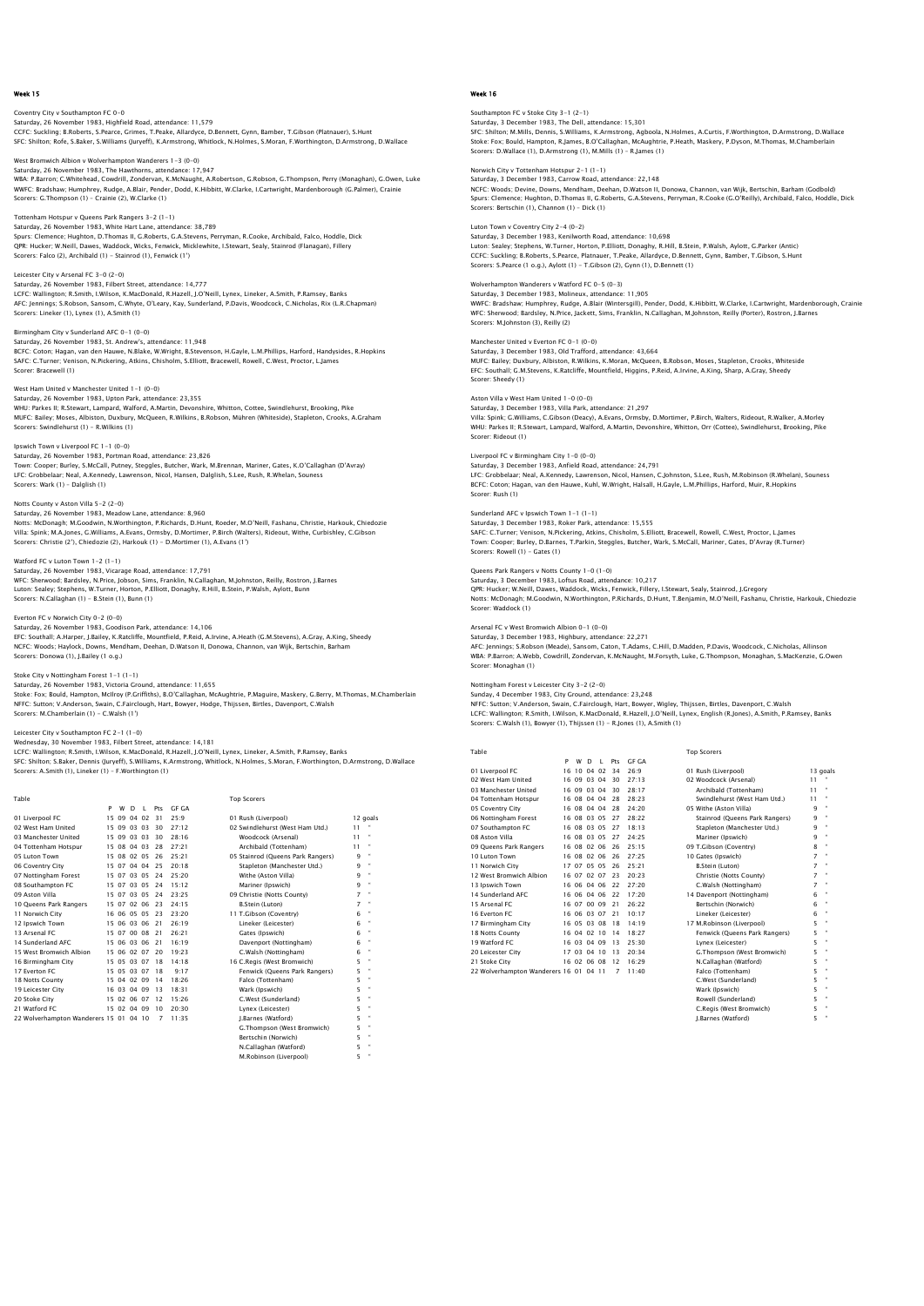Coventry City v Southampton FC 0–0<br>Saturday, 26 November 1983, Highfield Road, attendance: 11,579<br>CCFC: Suckling: B.Roberts, S.Pearce, Grimes, T.Peake, Allardyce, D.Bennett, Gynn, Bamber, T.Gibson (Platnauer), S.Hunt SFC: Shilton; Rofe, S.Baker, S.Williams (Juryeff), K.Armstrong, Whitlock, N.Holmes, S.Moran, F.Worthington, D.Armstrong, D.Wallace

West Bromwich Albion v Wolverhampton Wanderers 1–3 (0–0)<br>Saturday, 26 November 1983, The Hawthorns, attendance: 17,947<br>WBA: P.Barron; C.Whitehead, Cowdrill, Zondervan, K.McNaught, A.Robertson, G.Robson, G.Thompson, Perry ( WWFC: Bradshaw; Humphrey, Rudge, A.Blair, Pender, Dodd, K.Hibbitt, W.Clarke, I.Cartwright, Mardenborough (G.Palmer), Crainie Scorers: G.Thompson (1) – Crainie (2), W.Clarke (1)

#### Tottenham Hotspur v Queens Park Rangers 3-2 (1-1) Saturday, 26 November 1983, White Hart Lane, attendance: 38,789

Spurs: Clemence; Hughton, D.Thomas II, G.Roberts, G.A.Stevens, Perryman, R.Cooke, Archibald, Falco, Hoddle, Dick<br>QPR: Hucker; W.Neill, Dawes, Waddock, Wicks, Fenwick, Micklewhite, I.Stewart, Sealy, Stainrod (Flanagan), Fil Scorers: Falco (2), Archibald (1) - Stainrod (1), Fenwick (1')

### Leicester City v Arsenal FC 3-0 (2-0)

Saturday, 26 November 1983, Filbert Street, attendance: 14,777 LCFC: Wallington; R.Smith, I.Wilson, K.MacDonald, R.Hazell, J.O'Neill, Lynex, Lineker, A.Smith, P.Ramsey, Banks AFC: Jennings; S.Robson, Sansom, C.Whyte, O'Leary, Kay, Sunderland, P.Davis, Woodcock, C.Nicholas, Rix (L.R.Chapman) Scorers: Lineker (1), Lynex (1), A.Smith (1)

Birmingham City v Sunderland AFC 0-1 (0-0) Saturday, 26 November 1983, St. Andrew's, attendance: 11,948 BCFC: Coton; Hagan, van den Hauwe, N.Blake, W.Wright, B.Stevenson, H.Gayle, L.M.Phillips, Harford, Handysides, R.Hopkins<br>SAFC: C.Turner; Venison, N.Pickering, Atkins, Chisholm, S.Elliott, Bracewell, Rowell, C.West, Proctor

#### West Ham United v Manchester United 1-1 (0-0)

Saturday, 26 November 1983, Upton Park, attendance: 23,355<br>WHII: Parkes II: R Stewart Jamnard Walford, A Martin Devonshire Whitton Cottee Swindlehurst Brooking, Pike WHU: Parkes II; R.Stewart, Lampard, Walford, A.Martin, Devonshire, Whitton, Cottee, Swindlehurst, Brooking, Pike<br>MUFC: Bailey; Moses, Albiston, Duxbury, McQueen, R.Wilkins, B.Robson, Mühren (Whiteside), Stapleton, Crooks, Scorers: Swindlehurst (1) - R.Wilkins (1)

## Ipswich Town v Liverpool FC 1-1 (0-0)<br>Saturday, 26 November 1082, Bertman Boad, attendance: 23,826

Saturday, 26 November 1983, Portman Road, attendance: 23,826<br>Town: Cooper; Burley, S.McCall, Putney, Steggles, Butcher, Wark, M.Brennan, Mariner, Gates, K.O'Callaghan (D'Avray)<br>LFC: Grobbelaar; Neal, A.Kennedy, Lawrenson, Scorers: Wark (1) – Dalglish (1)

#### Notts County v Aston Villa 5-2 (2-0)

Saturday, 26 November 1983, Meadow Lane, attendance: 8,960<br>Notts: McDonagh; M.Goodwin, N.Worthington, P.Richards, D.Hunt, Roeder, M.O'Neill, Fashanu, Christie, Harkouk, Chiedozie<br>Villa: Spink; M.A.Jones, G.Williams, A.Evan Scorers: Christie (2'), Chiedozie (2), Harkouk (1) - D.Mortimer (1), A.Evans (1')

#### Watford FC v Luton Town 1-2 (1-1)

Saturday, 26 November 1983, Vicarage Road, attendance: 17,791 WFC: Sherwood; Bardsley, N.Price, Jobson, Sims, Franklin, N.Callaghan, M.Johnston, Reilly, Rostron, J.Barnes<br>Luton: Sealey; Stephens, W.Turner, Horton, P.Elliott, Donaghy, R.Hill, B.Stein, P.Walsh, Aylott, Bunn Scorers: N.Callaghan (1) - B.Stein (1), Bunn (1)

#### Everton FC v Norwich City 0-2 (0-0)

Saturday, 26 November 1983, Goodison Park, attendance: 14,106 EFC: Southall; A.Harper, J.Bailey, K.Ratcliffe, Mountfield, P.Reid, A.Irvine, A.Heath (G.M.Stevens), A.Gray, A.King, Sheedy NCFC: Woods; Haylock, Downs, Mendham, Deehan, D.Watson II, Donowa, Channon, van Wijk, Bertschin, Barham Scorers: Donowa (1), J.Bailey (1 o.g.)

## Stoke City v Nottingham Forest 1-1 (1-1)

Saturday, 26 November 1983, Victoria Ground, attendance: 11,655 Stoke: Fox; Bould, Hampton, McIlroy (P.Griffiths), B.O'Callaghan, McAughtrie, P.Maguire, Maskery, G.Berry, M.Thomas, M.Chamberlain NFFC: Sutton; V.Anderson, Swain, C.Fairclough, Hart, Bowyer, Hodge, Thijssen, Birtles, Davenport, C.Walsh Scorers: M.Chamberlain (1) - C.Walsh (1')

#### Leicester City v Southampton FC 2-1 (1-0) Wednesday, 30 November 1983, Filbert Street, attendance: 14,181

LCFC: Wallington; R.Smith, I.Wilson, K.MacDonald, R.Hazell, J.O'Neill, Lynex, Lineker, A.Smith, P.Ramsey, Banks<br>SFC: Shilton; S.Baker, Dennis (Juryeff), S.Williams, K.Armstrong, Whitlock, N.Holmes, S.Moran, F.Worthington,

N.Callaghan (Watford) 5 " M.Robinson (Liverpool) 5 "

 Table Top Scorers P W D L Pts GF GA 01 Liverpool FC 15 09 04 02 31 25:9 01 Rush (Liverpool) 12 goals 02 West Ham United 15 09 03 03 30 27:12 02 Swindlehurst (West Ham Utd.) 11 " 02 West Harri United 15 09 03 03 30 27:12<br>03 Manchester United 15 09 03 03 30 28:16 Woodcock (Arsenal) 11 "<br>04 Tottenham Hotspur 15 08 04 03 28 27:21 Archibald (Tottenham) 11 " 04 Tottenham Hotspur 15 08 04 03 28 27:21 Archibald (Tottenham) 11 " 05 Luton Town 15 08 02 05 26 25:21 05 Stainrod (Queens Park Rangers) 9 "<br>16 Coventry City 15 15 07 04 04 25 20:18 20:08 Stapleton (Manchester Utd.) 9 "<br>17 Nottingham Forest 15 07 03 05 24 25:20 Withe (Aston Villa) 9 " 08 Southampton FC 15 07 03 05 24 15:12 Mariner (Ipswich) 9 " 09 Aston Villa 15 07 03 05 24 23:25 09 Christie (Notts County) 7 " 10 Queens Park Rangers 15 07 02 06 23 24:15<br>
11 Norwich City 16 06 05 05 23 23:20<br>
11 Norwich City 16 06 05 05 23 23:20<br>
12 Paswich Town 15 06 03 06 21 26:21<br>
12 Arsenal FC 15 06 03 06 21 26:21<br>
12 Gates (Ipswich) 11 Norwich City 16 06 05 05 23 23:20 11 T.Gibson (Coventry) 6 " 12 Ipswich Town 15 06 03 06 21 26:19 Lineker (Leicester) 6 " 13 Arsenal FC 15 07 00 08 21 26:21 Gates (Ipswich) 6 " 14 Sunderland AFC 15 06 03 06 21 16:19<br>
14 Sunderland AFC 15 06 03 06 21 16:19<br>
15 West Bromwich Albion 15 06 02 07 20 19:23 C. Walsh (Nottingham) 6<br>
16 C. Hersen (Nottingham) 16 16 C. Regis (West Bromwich) 17 Everton FC 1 ' 15 West Bromwich Albion 15 06 02 07 20 19:23 C. Walsh (Nottingham) 6 16<br>16 Birmingham City 15 05 03 07 18 14:18 16 R. Regis (West Bromwich) 5 16<br>17 Perton FC 15 15 05 03 07 18 14:18 16 Penwick (Queens Park Rangers) 5 17<br> 19 Leicester City 16 03 04 09 13 18:31 Wark (Ipswich)<br>20 Stoke City 15 02 06 07 12 15:26 C West (Sunderland) 20 Stoke City 15 02 06 07 12 15:26 C.West (Sunderland) 5 " 21 Watford FC 15 02 04 09 10 20:30 Lynex (Leicester) 5 " 22 Wolverhampton Wanderers 15 01 04 10 7 11:35 J.Barnes (Watford) 5 " G.Thompson (West Bromwich) 5 " Bertschin (Norwich) 5 "

### Week 16

Southampton FC v Stoke City 3–1 (2–1)<br>Saturday, 3 December 1983, The Dell, attendance: 15,301<br>SFC: Shilton; M.Mills, Dennis, S.Williams, K.Armstrong, Agboola, N.Holmes, A.Curtis, F.Worthington, D.Armstrong, D.Wallace Stoke: Fox; Bould, Hampton, R.James, B.O'Callaghan, McAughtrie, P.Heath, Maskery, P.Dyson, M.Thomas, M.Chamberlain Scorers: D.Wallace (1), D.Armstrong (1), M.Mills (1) – R.James (1)

## Norwich City v Tottenham Hotspur 2-1 (1-1) Saturday, 3 December 1983, Carrow Road, attendance: 22,148

NCFC: Woods; Devine, Downs, Mendham, Deehan, D.Watson II, Donowa, Channon, van Wijk, Bertschin, Barham (Godbold) Spurs: Clemence; Hughton, D.Thomas II, G.Roberts, G.A.Stevens, Perryman, R.Cooke (G.O'Reilly), Archibald, Falco, Hoddle, Dick Scorers: Bertschin (1), Channon (1) – Dick (1)

#### Luton Town v Coventry City 2-4 (0-2) Saturday, 3 December 1983, Kenilworth Road, attendance: 10,698

Luton: Sealey; Stephens, W.Turner, Horton, P.Elliott, Donaghy, R.Hill, B.Stein, P.Walsh, Aylott, G.Parker (Antic)<br>CCFC: Suckling; B.Roberts, S.Pearce, Platnauer, T.Peake, Allardyce, D.Bennett, Gynn, Bamber, T.Gibson, S.Hun

### Wolverhampton Wanderers v Watford FC 0-5 (0-3)

Saturday, 3 December 1983, Molineux, attendance: 11,905<br>WWFC: Bradshaw; Humphrey, Rudge, A.Blair (Wintersgill), Pender, Dodd, K.Hibbitt, W.Clarke, I.Cartwright, Mardenborough, Crainie<br>WFC: Sherwood; Bardsley, N.Price, Jack

#### Manchester United v Everton FC 0-1 (0-0)

Saturday, 3 December 1983, Old Trafford, attendance: 43,664<br>MUFC: Bailey, Duxbury, Albiston, R.Wilkins, K.Moran, McQueen, B.Robson, Moses, Stapleton, Crooks, Whiteside<br>EFC: Southall; C.M.Stevens, K.Ratcliffe, Mountfield, H Scorer: Sheedy (1)

#### Aston Villa v West Ham United 1-0 (0-0)

Saturday, 3 December 1983, Villa Park, attendance: 21,297 Villa: Spink; G.Williams, C.Gibson (Deacy), A.Evans, Ormsby, D.Mortimer, P.Birch, Walters, Rideout, R.Walker, A.Morley WHU: Parkes II; R.Stewart, Lampard, Walford, A.Martin, Devonshire, Whitton, Orr (Cottee), Swindlehurst, Brooking, Pike Scorer: Rideout (1)

## Liverpool FC v Birmingham City 1-0 (0-0)

Saturday, 3 December 1983, Anfield Road, attendance: 24,791 LFC: Grobbelaar; Neal, A.Kennedy, Lawrenson, Nicol, Hansen, C.Johnston, S.Lee, Rush, M.Robinson (R.Whelan), Souness BCFC: Coton; Hagan, van den Hauwe, Kuhl, W.Wright, Halsall, H.Gayle, L.M.Phillips, Harford, Muir, R.Hopkins Scorer: Rush (1)

## Sunderland AFC v Ipswich Town 1-1 (1-1)

Saturday, 3 December 1983, Roker Park, attendance: 15,555 SAFC: C.Turner; Venison, N.Pickering, Atkins, Chisholm, S.Elliott, Bracewell, Rowell, C.West, Proctor, L.James Town: Cooper; Burley, D.Barnes, T.Parkin, Steggles, Butcher, Wark, S.McCall, Mariner, Gates, D'Avray (R.Turner) Scorers: Rowell (1) - Gates (1)

## Queens Park Rangers v Notts County 1-0 (1-0)

Saturday, 3 December 1983, Loftus Road, attendance: 10,217 QPR: Hucker; W.Neill, Dawes, Waddock, Wicks, Fenwick, Fillery, I.Stewart, Sealy, Stainrod, J.Gregory Notts: McDonagh; M.Goodwin, N.Worthington, P.Richards, D.Hunt, T.Benjamin, M.O'Neill, Fashanu, Christie, Harkouk, Chiedozie Scorer: Waddock (1)

#### West Bromwich Albion  $0-1$  (0-0) Saturday, 3 December 1983, Highbury, attendance: 22,271

AFC: Jennings; S.Robson (Meade), Sansom, Caton, T.Adams, C.Hill, D.Madden, P.Davis, Woodcock, C.Nicholas, Allinson WBA: P.Barron; A.Webb, Cowdrill, Zondervan, K.McNaught, M.Forsyth, Luke, G.Thompson, Monaghan, S.MacKenzie, G.Owen Scorer: Monaghan (1)

#### Nottingham Forest v Leicester City 3-2 (2-0)

Sunday, 4 December 1983, City Ground, attendance: 23,248 NFFC: Sutton; V.Anderson, Swain, C.Fairclough, Hart, Bowyer, Wigley, Thijssen, Birtles, Davenport, C.Walsh<br>LCFC: Wallington; R.Smith, I.Wilson, K.MacDonald, R.Hazell, J.O'Neill, Lynex, English (R.Jones), A.Smith, P.Ramsey,

|                                  | P  | W           | D     |                | Pts | <b>GF GA</b> |                                |       |
|----------------------------------|----|-------------|-------|----------------|-----|--------------|--------------------------------|-------|
| 01 Liverpool FC                  | 16 | 10          | 04    | 0 <sup>2</sup> | 34  | 26:9         | 01 Rush (Liverpool)            | 13 qc |
| 02 West Ham United               | 16 | 09          | 03    | 04             | 30  | 27:13        | 02 Woodcock (Arsenal)          | 11    |
| 03 Manchester United             |    | 16 09       | 03 04 |                | 30  | 28:17        | Archibald (Tottenham)          | 11    |
| 04 Tottenham Hotspur             |    | 16 08       | 04.04 |                | 28  | 28:23        | Swindlehurst (West Ham Utd.)   | 11    |
| 05 Coventry City                 |    | 16 08       | 04    | 04             | 28  | 24:20        | 05 Withe (Aston Villa)         | 9     |
| 06 Nottingham Forest             |    | 16 08       | 03 05 |                | 27  | 28:22        | Stainrod (Oueens Park Rangers) | 9     |
| 07 Southampton FC                |    | 16 08 03 05 |       |                | 27  | 18:13        | Stapleton (Manchester Utd.)    | 9     |
| 08 Aston Villa                   |    | 16 08       | 03 05 |                | 27  | 24.25        | Mariner (Ipswich)              | 9     |
| 09 Queens Park Rangers           |    | 16 08 02 06 |       |                | 26  | 25:15        | 09 T.Gibson (Coventry)         | 8     |
| 10 Luton Town                    |    | 16 08       | 02    | 06             | 26  | 27:25        | 10 Gates (Ipswich)             | 7     |
| 11 Norwich City                  |    | 17 07       | 05 05 |                | 26  | 25:21        | <b>B.Stein (Luton)</b>         | 7     |
| 12 West Bromwich Albion          |    | 16 07       | 02 07 |                | 23  | 20:23        | Christie (Notts County)        | 7     |
| 13 Ipswich Town                  | 16 | 06          | 04 06 |                | 22  | 27:20        | C.Walsh (Nottingham)           | 7     |
| 14 Sunderland AFC                | 16 | 06          | 04 06 |                | 22  | 17:20        | 14 Davenport (Nottingham)      | 6     |
| 15 Arsenal FC                    |    | 16 07       | 00 09 |                | 21  | 26:22        | Bertschin (Norwich)            | 6     |
| 16 Everton EC                    | 16 | 06          | 03    | 07             | 21  | 10:17        | Lineker (Leicester)            | 6     |
| 17 Birmingham City               |    | 16 05       | 03 08 |                | 18  | 14:19        | 17 M.Robinson (Liverpool)      | 5     |
| 18 Notts County                  | 16 | 04          | 02    | 10             | 14  | 18:27        | Fenwick (Queens Park Rangers)  | 5     |
| 19 Watford FC                    |    | 16 03       | 04 09 |                | 13  | 25:30        | Lynex (Leicester)              | 5     |
| 20 Leicester City                |    | 17 03       | 04    | 10             | 13  | 20:34        | G.Thompson (West Bromwich)     | 5     |
| 21 Stoke City                    |    | 16 02 06 08 |       |                | 12  | 16:29        | N.Callaghan (Watford)          | 5     |
| 22 Wolverhampton Wanderers 16 01 |    |             | 0411  |                |     | 11.40        | Falco (Tottenham)              | 5     |

Table Top Scorers

| 01 Liverpool FC                        |  |             | 16 10 04 02 | 34 | 26.9  | 01 Rush (Liverpool)            |    | 13 goals     |
|----------------------------------------|--|-------------|-------------|----|-------|--------------------------------|----|--------------|
| 02 West Ham United                     |  | 16 09 03 04 |             | 30 | 27:13 | 02 Woodcock (Arsenal)          | 11 |              |
| 03 Manchester United                   |  | 16 09 03 04 |             | 30 | 28:17 | Archibald (Tottenham)          | 11 |              |
| 04 Tottenham Hotspur                   |  | 16 08 04 04 |             | 28 | 28:23 | Swindlehurst (West Ham Utd.)   | 11 |              |
| 05 Coventry City                       |  | 16 08 04 04 |             | 28 | 24:20 | 05 Withe (Aston Villa)         | ۹  | $\mathbf{a}$ |
| 06 Nottingham Forest                   |  | 16 08 03 05 |             | 27 | 28:22 | Stainrod (Oueens Park Rangers) | ۹  | $\mathbf{u}$ |
| 07 Southampton FC                      |  | 16 08 03 05 |             | 27 | 18:13 | Stapleton (Manchester Utd.)    | 9  | ×            |
| 08 Aston Villa                         |  | 16 08 03 05 |             | 27 | 24.25 | Mariner (Ipswich)              | ۹  | $\mathbf{a}$ |
| 09 Oueens Park Rangers                 |  | 16 08 02 06 |             | 26 | 25:15 | 09 T.Gibson (Coventry)         | 8  | $\mathbf{a}$ |
| 10 Luton Town                          |  | 16 08 02 06 |             | 26 | 27:25 | 10 Gates (Ipswich)             | 7  | $\mathbf{u}$ |
| 11 Norwich City                        |  | 17 07 05 05 |             | 26 | 25:21 | <b>B.Stein (Luton)</b>         | 7  | $\mathbf{u}$ |
| 12 West Bromwich Albion                |  | 16 07 02 07 |             | 23 | 20:23 | Christie (Notts County)        | 7  | $\mathbf{u}$ |
| 13 Ipswich Town                        |  | 16 06 04 06 |             | 22 | 27:20 | C.Walsh (Nottingham)           | 7  | $\mathbf{u}$ |
| 14 Sunderland AFC                      |  | 16 06 04 06 |             | 22 | 17.20 | 14 Davenport (Nottingham)      | 6  | $\mathbf{u}$ |
| 15 Arsenal FC                          |  | 16 07 00 09 |             | 21 | 26:22 | Bertschin (Norwich)            | 6  | $\alpha$     |
| 16 Everton EC                          |  | 16 06 03 07 |             | 21 | 10:17 | Lineker (Leicester)            | 6  | $\mathbf{a}$ |
| 17 Birmingham City                     |  | 16 05 03 08 |             | 18 | 14:19 | 17 M.Robinson (Liverpool)      | 5  | ×            |
| 18 Notts County                        |  | 16 04 02 10 |             | 14 | 18:27 | Fenwick (Queens Park Rangers)  | 5  | $\mathbf{u}$ |
| 19 Watford FC                          |  | 16 03 04 09 |             | 13 | 25.30 | Lynex (Leicester)              | 5  | $\alpha$     |
| 20 Leicester City                      |  | 17 03 04 10 |             | 13 | 20.34 | G.Thompson (West Bromwich)     | 5  | ×            |
| 21 Stoke City                          |  | 16 02 06 08 |             | 12 | 16.29 | N.Callaghan (Watford)          | 5  | $\mathbf{a}$ |
| 22 Wolverhampton Wanderers 16 01 04 11 |  |             |             | 7  | 11:40 | Falco (Tottenham)              | 5  | $\mathbf{a}$ |
|                                        |  |             |             |    |       | C.West (Sunderland)            | 5  | $\mathbf{a}$ |
|                                        |  |             |             |    |       | Wark (Ipswich)                 | 5  | $\mathbf{a}$ |
|                                        |  |             |             |    |       | Rowell (Sunderland)            | 5  | $\mathbf{u}$ |
|                                        |  |             |             |    |       | C.Reais (West Bromwich)        | 5  | $\mathbf{a}$ |
|                                        |  |             |             |    |       | I.Barnes (Watford)             | 5  | $\mathbf{u}$ |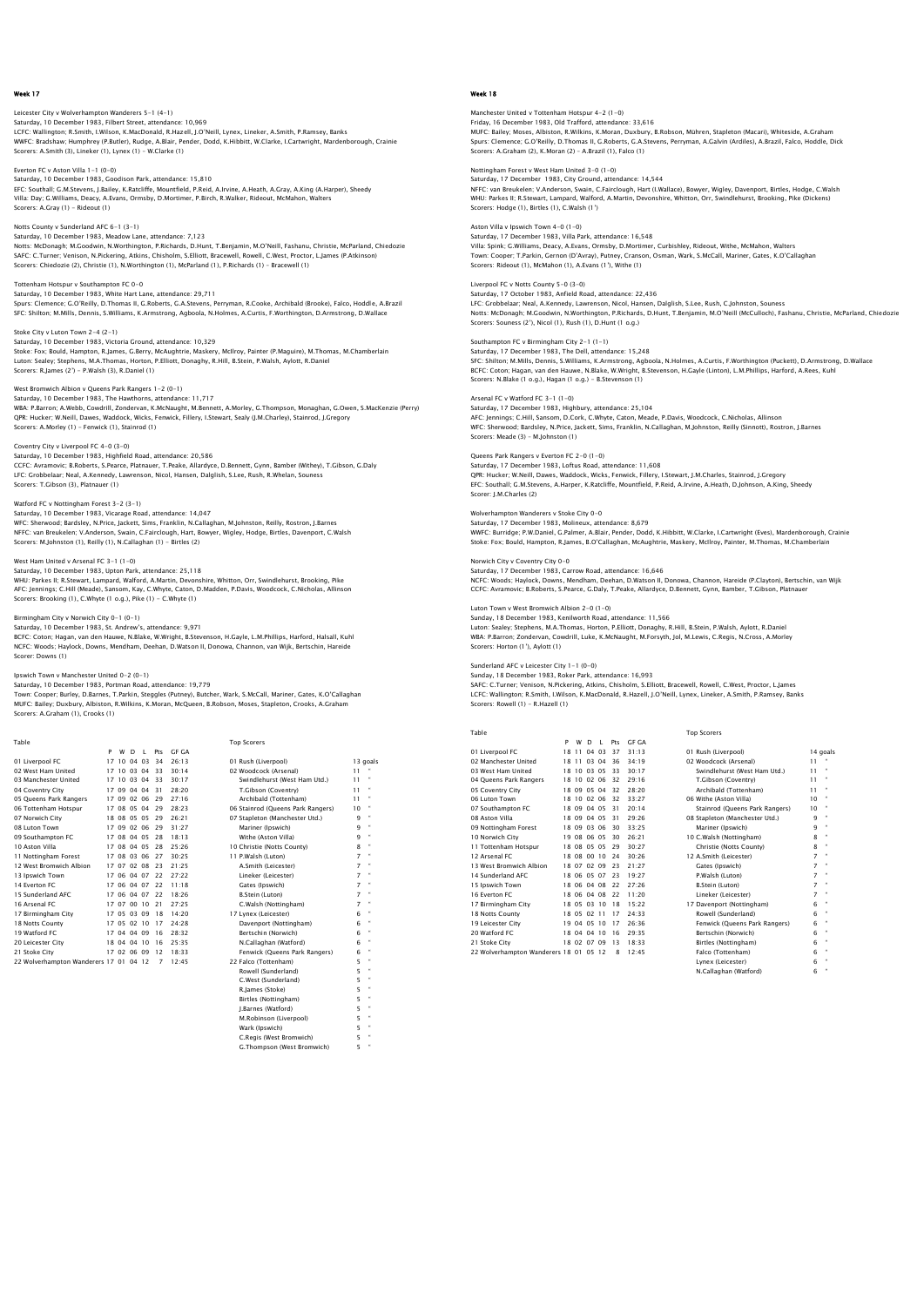Leicester City v Wolverhampton Wanderers 5–1 (4–1)<br>Saturday, 10 December 1983, Filbert Street, attendance: 10,969<br>LCFC: Wallington; R.Smith, I.Wilson, K.MacDonald, R.Hazell, J.O'Neill, Lynex, Lineker, A.Smith, P.Ramsey, Ba WWFC: Bradshaw; Humphrey (P.Butler), Rudge, A.Blair, Pender, Dodd, K.Hibbitt, W.Clarke, I.Cartwright, Mardenborough, Crainie Scorers: A.Smith (3), Lineker (1), Lynex (1) – W.Clarke (1)

Everton FC v Aston Villa 1-1 (0-0) Saturday, 10 December 1983, Goodison Park, attendance: 15,810

EFC: Southall; G.M.Stevens, J.Bailey, K.Ratcliffe, Mountfield, P.Reid, A.Irvine, A.Heath, A.Gray, A.King (A.Harper), Sheedy<br>Villa: Day; G.Williams, Deacy, A.Evans, Ormsby, D.Mortimer, P.Birch, R.Walker, Rideout, McMahon, W Scorers: A.Gray (1) - Rideout (1)

#### Notts County v Sunderland AFC 6-1 (3-1) Saturday, 10 December 1983, Meadow Lane, attendance: 7,123

Notts: McDonagh; M.Goodwin, N.Worthington, P.Richards, D.Hunt, T.Benjamin, M.O'Neill, Fashanu, Christie, McParland, Chiedozie<br>SAFC: C.Turner; Venison, N.Pickering, Atkins, Chisholm, S.Elliott, Bracewell, Rowell, C.West, Pr

Tottenham Hotspur v Southampton FC 0-0 Saturday, 10 December 1983, White Hart Lane, attendance: 29,711

Spurs: Clemence; G.O'Reilly, D.Thomas II, G.Roberts, G.A.Stevens, Perryman, R.Cooke, Archibald (Brooke), Falco, Hoddle, A.Brazil<br>SFC: Shilton; M.Mills, Dennis, S.Williams, K.Armstrong, Agboola, N.Holmes, A.Curtis, F.Worthi

Stoke City v Luton Town 2-4 (2-1) Saturday, 10 December 1983, Victoria Ground, attendance: 10,329<br>Stoke: Fox; Bould, Hampton, R.James, G.Berry, McAughtrie, Maskery, McIlroy, Painter (P.Maguire), M.Thomas, M.Chamberlain<br>Luton: Sealey; Stephens, M.A.Thomas,

### West Bromwich Albion v Queens Park Rangers 1-2 (0-1)

Saturday, 10 December 1983, The Hawthorns, attendance: 11,717<br>WBA: P.Barron; A.Webb, Cowdrill, Zondervan, K.McNaught, M.Bennett, A.Morley, G.Thompson, Monaghan, G.Owen, S.MacKenzie (Perry)<br>QPR: Hucker; W.Neill, Dawes, Wadd Scorers: A.Morley (1) - Fenwick (1), Stainrod (1)

### Coventry City v Liverpool FC 4-0 (3-0)

Saturday, 10 December 1983, Highfield Road, attendance: 20,586<br>CCFC: Avramovic; B.Roberts, S.Pearce, Platnauer, T.Peake, Allardyce, D.Bennett, Gynn, Bamber (Withey), T.Gibson, G.Daly<br>LFC: Grobbelaar; Neal, A.Kennedy, Lawre Scorers: T.Gibson (3), Platnauer (1)

#### Watford FC v Nottingham Forest 3-2 (3-1)

Saturday, 10 December 1983, Vicarage Road, attendance: 14,047<br>WFC: Sherwood; Bardsley, N.Price, Jackett, Sims, Franklin, N.Callaghan, M.Johnston, Reilly, Rostron, J.Barnes<br>NFFC: van Breukelen; V.Anderson, Swain, C.Fairclou Scorers: M.Johnston (1), Reilly (1), N.Callaghan (1) - Birtles (2)

#### West Ham United v Arsenal FC 3-1 (1-0)

Saturday, 10 December 1983, Upton Park, attendance: 25,118 WHU: Parkes II; R.Stewart, Lampard, Walford, A.Martin, Devonshire, Whitton, Orr, Swindlehurst, Brooking, Pike AFC: Jennings; C.Hill (Meade), Sansom, Kay, C.Whyte, Caton, D.Madden, P.Davis, Woodcock, C.Nicholas, Allinson Scorers: Brooking (1), C.Whyte (1 o.g.), Pike (1) - C.Whyte (1)

## Birmingham City v Norwich City 0-1 (0-1)

Saturday, 10 December 1983, St. Andrew's, attendance: 9,971 BCFC: Coton; Hagan, van den Hauwe, N.Blake, W.Wright, B.Stevenson, H.Gayle, L.M.Phillips, Harford, Halsall, Kuhl NCFC: Woods; Haylock, Downs, Mendham, Deehan, D.Watson II, Donowa, Channon, van Wijk, Bertschin, Hareide

## Ipswich Town v Manchester United 0-2 (0-1)

Saturday, 10 December 1983, Portman Road, attendance: 19,779

Town: Cooper; Burley, D.Barnes, T.Parkin, Steggles (Putney), Butcher, Wark, S.McCall, Mariner, Gates, K.O'Callaghan MUFC: Bailey; Duxbury, Albiston, R.Wilkins, K.Moran, McQueen, B.Robson, Moses, Stapleton, Crooks, A.Graham Scorers: A.Graham (1), Crooks (1)

Scorer: Downs (1)

Table Table Top Scorers and Top Scorers Top Scorers Top Scorers Top Scorers Top Scorers Top Scorers Top Scorers

 J.Barnes (Watford) 5 " M.Robinson (Liverpool) 5 " Wark (Ipswich) 5 " C.Regis (West Bromwich) G.Thompson (West Bromwich) 5 "

|                                        | P  | w           | D        | $\mathsf L$ | Pts            | GE GA |                                   |    |              |
|----------------------------------------|----|-------------|----------|-------------|----------------|-------|-----------------------------------|----|--------------|
| 01 Liverpool FC                        | 17 |             | 10 04 03 |             | 34             | 26:13 | 01 Rush (Liverpool)               |    | 13 goals     |
| 02 West Ham United                     |    | 17 10 03 04 |          |             | 33             | 30.14 | 02 Woodcock (Arsenal)             | 11 |              |
| 03 Manchester United                   |    | 17 10 03 04 |          |             | 33             | 30:17 | Swindlehurst (West Ham Utd.)      | 11 |              |
| 04 Coventry City                       |    | 17 09 04 04 |          |             | 31             | 28:20 | T.Gibson (Coventry)               | 11 |              |
| 05 Queens Park Rangers                 |    | 17 09 02 06 |          |             | 29             | 27:16 | Archibald (Tottenham)             | 11 |              |
| 06 Tottenham Hotspur                   |    | 17 08 05 04 |          |             | 29             | 28:23 | 06 Stainrod (Queens Park Rangers) | 10 |              |
| 07 Norwich City                        |    | 18 08 05 05 |          |             | 29             | 26:21 | 07 Stapleton (Manchester Utd.)    | q  |              |
| 08 Luton Town                          |    | 17 09 02 06 |          |             | 29             | 31:27 | Mariner (Ipswich)                 | ۹  | ×            |
| 09 Southampton FC                      |    | 17 08 04 05 |          |             | 28             | 18:13 | Withe (Aston Villa)               | 9  |              |
| 10 Aston Villa                         |    | 17 08 04 05 |          |             | 28             | 25:26 | 10 Christie (Notts County)        | 8  | ×            |
| 11 Nottingham Forest                   |    | 17 08 03 06 |          |             | 27             | 30:25 | 11 P.Walsh (Luton)                | 7  | ×            |
| 12 West Bromwich Albion                |    | 17 07 02 08 |          |             | 23             | 21:25 | A.Smith (Leicester)               | 7  | $\bullet$    |
| 13 Ipswich Town                        |    | 17 06 04 07 |          |             | 22             | 27:22 | Lineker (Leicester)               | 7  | ×            |
| 14 Everton EC                          |    | 17 06 04 07 |          |             | 22             | 11:18 | Gates (Ipswich)                   | 7  | ×            |
| 15 Sunderland AFC                      |    | 17 06 04 07 |          |             | 22             | 18:26 | <b>B.Stein (Luton)</b>            | 7  | $\bullet$    |
| 16 Arsenal FC                          |    | 17 07 00 10 |          |             | 21             | 27:25 | C.Walsh (Nottingham)              | 7  | ×            |
| 17 Birmingham City                     |    | 17 05 03 09 |          |             | 18             | 14.20 | 17 Lynex (Leicester)              | 6  |              |
| 18 Notts County                        |    | 17 05 02 10 |          |             | 17             | 24:28 | Davenport (Nottingham)            | 6  |              |
| 19 Watford FC                          |    | 17 04 04 09 |          |             | 16             | 28:32 | Bertschin (Norwich)               | 6  | ×            |
| 20 Leicester City                      |    | 18 04 04 10 |          |             | 16             | 25.35 | N.Callaghan (Watford)             | 6  | $\mathbf{H}$ |
| 21 Stoke City                          |    | 17 02 06 09 |          |             | 12             | 18:33 | Fenwick (Queens Park Rangers)     | 6  |              |
| 22 Wolverhampton Wanderers 17 01 04 12 |    |             |          |             | $\overline{7}$ | 12.45 | 22 Falco (Tottenham)              | 5  | ×            |
|                                        |    |             |          |             |                |       | Rowell (Sunderland)               | 5  | $\mathbf{H}$ |
|                                        |    |             |          |             |                |       | C.West (Sunderland)               | 5  | ×            |
|                                        |    |             |          |             |                |       | R. lames (Stoke)                  | 5  | ×            |
|                                        |    |             |          |             |                |       | Birtles (Nottingham)              | 5  |              |

## Week 18

## Manchester United v Tottenham Hotspur 4–2 (1–0)<br>Friday, 16 December 1983, Old Trafford, attendance: 33,616<br>MUFC: Bailey; Moses, Albiston, R.Wilkins, K.Moran, Duxbury, B.Robson, Mühren, Stapleton (Macari), Whiteside, A.Grah Spurs: Clemence; G.O'Reilly, D.Thomas II, G.Roberts, G.A.Stevens, Perryman, A.Galvin (Ardiles), A.Brazil, Falco, Hoddle, Dick Scorers: A.Graham (2), K.Moran (2) – A.Brazil (1), Falco (1)

## Nottingham Forest v West Ham United 3-0 (1-0) Saturday, 17 December 1983, City Ground, attendance: 14,544

NFFC: van Breukelen; V.Anderson, Swain, C.Fairclough, Hart (I.Wallace), Bowyer, Wigley, Davenport, Birtles, Hodge, C.Walsh<br>WHU: Parkes II; R.Stewart, Lampard, Walford, A.Martin, Devonshire, Whitton, Orr, Swindlehurst, Broo Scorers: Hodge (1), Birtles (1), C.Walsh (1')

#### Aston Villa v Ipswich Town 4-0 (1-0) Saturday, 17 December 1983, Villa Park, attendance: 16,548

Villa: Spink; G.Williams, Deacy, A.Evans, Ormsby, D.Mortimer, Curbishley, Rideout, Withe, McMahon, Walters<br>Town: Cooper; T.Parkin, Gernon (D'Avray), Putney, Cranson, Osman, Wark, S.McCall, Mariner, Gates, K.O'Callaghan<br>Sco

### Liverpool FC v Notts County 5-0 (3-0)

Saturday, 17 October 1983, Anfield Road, attendance: 22,436 LFC: Grobbelaar; Neal, A.Kennedy, Lawrenson, Nicol, Hansen, Dalglish, S.Lee, Rush, C.Johnston, Souness<br>Notts: McDonagh; M.Goodwin, N.Worthington, P.Richards, D.Hunt, T.Benjamin, M.O'Neill (McCulloch), Fashanu, Christie, Mc

#### Southampton FC v Birmingham City 2-1 (1-1)

Saturday, 17 December 1983, The Dell, attendance: 15,248 SFC: Shilton; M.Mills, Dennis, S.Williams, K.Armstrong, Agboola, N.Holmes, A.Curtis, F.Worthington (Puckett), D.Armstrong, D.Wallace<br>BCFC: Coton; Haqan, van den Hauwe, N.Blake, W.Wright, B.Stevenson, H.Gayle (Linton), L.M. Scorers: N.Blake (1 o.g.), Hagan (1 o.g.) - B.Stevenson (1)

#### Arsenal FC v Watford FC 3-1 (1-0)

Saturday, 17 December 1983, Highbury, attendance: 25,104<br>AFC: Jennings; C.Hill, Sansom, D.Cork, C.Whyte, Caton, Meade, P.Davis, Woodcock, C.Nicholas, Allinson<br>WFC: Sherwood: Bardsley, N.Price, Jackett, Sims, Franklin, N.Ca Scorers: Meade (3) – M.Johnston (1)

Queens Park Rangers v Everton FC 2–0 (1–0)<br>Saturday, 17 December 1983, Loftus Road, attendance: 11,608<br>QPR: Hucker; W.Neill, Dawes, Waddock, Wicks, Fenwick, Fillery, I.Stewart, J.M.Charles, Stainrod, J.Gregory<br>EFC: Southal Scorer: J.M.Charles (2)

## Wolverhampton Wanderers v Stoke City 0-0

Saturday, 17 December 1983, Molineux, attendance: 8,679 WWFC: Burridge; P.W.Daniel, G.Palmer, A.Blair, Pender, Dodd, K.Hibbitt, W.Clarke, I.Cartwright (Eves), Mardenborough, Crainie Stoke: Fox; Bould, Hampton, R.James, B.O'Callaghan, McAughtrie, Maskery, McIlroy, Painter, M.Thomas, M.Chamberlain

## Norwich City v Coventry City 0-0

Saturday, 17 December 1983, Carrow Road, attendance: 16,646 NCFC: Woods; Haylock, Downs, Mendham, Deehan, D.Watson II, Donowa, Channon, Hareide (P.Clayton), Bertschin, van Wijl<br>CCFC: Avramovic; B.Roberts, S.Pearce, G.Daly, T.Peake, Allardyce, D.Bennett, Gynn, Bamber, T.Gibson, Plat

## Luton Town v West Bromwich Albion 2-0 (1-0)

Sunday, 18 December 1983, Kenilworth Road, attendance: 11,566<br>Luton: Sealey, Stephens, M.A.Thomas, Horton, P.Elliott, Donaghy, R.Hill, B.Stein, P.Walsh, Aylott, R.Daniel<br>WBA: P.Barron; Zondervan, Cowdrill, Luke, K.McNaught Scorers: Horton (1'), Aylott (1)

Sunderland AFC v Leicester City 1–1 (0–0)<br>Sunday, 18 December 1983, Roker Park, attendance: 16,993<br>SAFC: C.Turner; Venison, N.Pickering, Atkins, Chisholm, S.Elliott, Bracewell, Rowell, C.West, Proctor, L.James<br>LCFC: Wallin Scorers: Rowell (1) - R.Hazell (1)

| Table                            |    |             |       |        |     |       | <b>Top Scorers</b>             |    |              |
|----------------------------------|----|-------------|-------|--------|-----|-------|--------------------------------|----|--------------|
|                                  | P  | w           | D     | L.     | Prs | GE GA |                                |    |              |
| 01 Liverpool FC                  | 18 | 11          |       | 04 03  | 37  | 31:13 | 01 Rush (Liverpool)            |    | 14 goals     |
| 02 Manchester United             | 18 | 11          |       | 03 04  | 36  | 34:19 | 02 Woodcock (Arsenal)          | 11 |              |
| 03 West Ham United               |    | 18 10 03 05 |       |        | 33  | 30:17 | Swindlehurst (West Ham Utd.)   | 11 | $\mathbf{a}$ |
| 04 Oueens Park Rangers           |    | 18 10 02 06 |       |        | 32  | 29:16 | T.Gibson (Coventry)            | 11 | $\mathbf{a}$ |
| 05 Coventry City                 |    | 18.09       | 05 04 |        | 32  | 28:20 | Archibald (Tottenham)          | 11 | $\mathbf{a}$ |
| 06 Luton Town                    |    | 18 10 02 06 |       |        | 32  | 33:27 | 06 Withe (Aston Villa)         | 10 | $\mathbf{a}$ |
| 07 Southampton FC                |    | 18 09       | 04 05 |        | 31  | 20:14 | Stainrod (Queens Park Rangers) | 10 | $\mathbf{u}$ |
| 08 Aston Villa                   |    | 18 09 04 05 |       |        | 31  | 29.26 | 08 Stapleton (Manchester Utd.) | 9  | ×            |
| 09 Nottingham Forest             |    | 18 09 03 06 |       |        | 30  | 33:25 | Mariner (Ipswich)              | q  | $\mathbf{u}$ |
| 10 Norwich City                  |    | 19 08 06 05 |       |        | 30  | 26:21 | 10 C.Walsh (Nottingham)        | 8  | $\mathbf{a}$ |
| 11 Tottenham Hotspur             |    | 18 08 05 05 |       |        | 29  | 30.27 | Christie (Notts County)        | 8  | $\mathbf{a}$ |
| 12 Arsenal FC                    |    | 18 08 00 10 |       |        | 24  | 30:26 | 12 A.Smith (Leicester)         | 7  | ×            |
| 13 West Bromwich Albion          |    | 18 07       | 02 09 |        | 23  | 21:27 | Gates (Ipswich)                | 7  | $\mathbf{u}$ |
| 14 Sunderland AFC                |    | 18 06 05 07 |       |        | 23  | 19:27 | P.Walsh (Luton)                | 7  | $\mathbf{u}$ |
| 15 Ipswich Town                  |    | 18 06 04 08 |       |        | 22  | 27.26 | <b>B.Stein (Luton)</b>         | 7  | $\mathbf{u}$ |
| 16 Everton FC                    |    | 18 06 04 08 |       |        | 22  | 11:20 | Lineker (Leicester)            | 7  | $\mathbf{a}$ |
| 17 Birmingham City               |    | 18 05       |       | 03 10  | 18  | 15:22 | 17 Davenport (Nottingham)      | 6  | $\mathbf{u}$ |
| 18 Notts County                  |    | 18 05 02 11 |       |        | 17  | 24:33 | Rowell (Sunderland)            | 6  | $\mathbf{a}$ |
| 19 Leicester City                |    | 19 04       |       | 05 10  | 17  | 26.36 | Fenwick (Queens Park Rangers)  | 6  | $\mathbf{a}$ |
| 20 Watford FC                    |    | 18 04       |       | 04, 10 | 16  | 29:35 | Bertschin (Norwich)            | 6  | $\mathbf{a}$ |
| 21 Stoke City                    |    | 18 02 07 09 |       |        | 13  | 18:33 | Birtles (Nottingham)           | 6  | ×.           |
| 22 Wolverhampton Wanderers 18 01 |    |             | 05 12 |        | 8   | 12:45 | Falco (Tottenham)              | 6  | ×            |

| 01 Rush (Liverpool)            | 14 go |   |
|--------------------------------|-------|---|
| 02 Woodcock (Arsenal)          | 11    |   |
| Swindlehurst (West Ham Utd.)   | 11    | j |
| T.Gibson (Coventry)            | 11    | ï |
| Archibald (Tottenham)          | 11    | j |
| 06 Withe (Aston Villa)         | 10    | j |
| Stainrod (Oueens Park Rangers) | 10    | l |
| 08 Stapleton (Manchester Utd.) | ۹     | l |
| Mariner (Ipswich)              | q     | j |
| 10 C.Walsh (Nottingham)        | 8     | j |
| Christie (Notts County)        | 8     | l |
| 12 A.Smith (Leicester)         | 7     | j |
| Gates (Ipswich)                | 7     | l |
| P.Walsh (Luton)                | 7     | l |
| <b>B.Stein (Luton)</b>         | 7     | j |
| Lineker (Leicester)            | 7     | j |
| 17 Davenport (Nottingham)      | 6     | l |
| Rowell (Sunderland)            | 6     | j |
| Fenwick (Oueens Park Rangers)  | 6     | l |
| Bertschin (Norwich)            | 6     | l |
| Birtles (Nottingham)           | 6     | j |
| Falco (Tottenham)              | 6     | l |
| Lynex (Leicester)              | 6     | l |
| N.Callaghan (Watford)          | 6     | j |